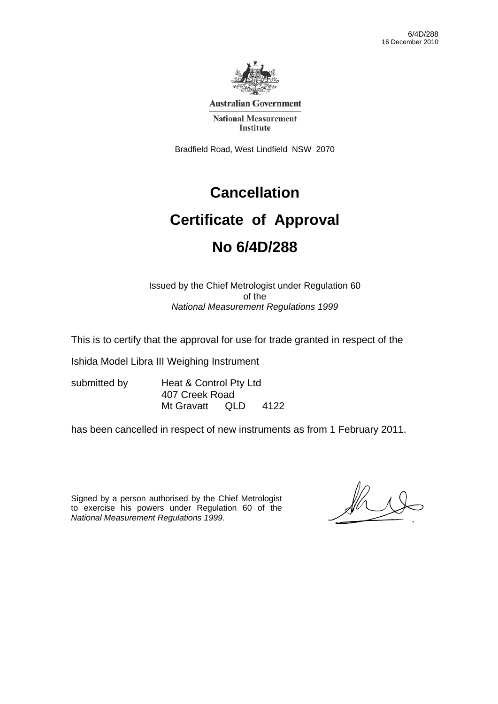

**Australian Government** 

**National Measurement Institute** 

Bradfield Road, West Lindfield NSW 2070

### **Cancellation**

## **Certificate of Approval No 6/4D/288**

# Issued by the Chief Metrologist under Regulation 60

of the *National Measurement Regulations 1999* 

This is to certify that the approval for use for trade granted in respect of the

Ishida Model Libra III Weighing Instrument

submitted by Heat & Control Pty Ltd 407 Creek Road Mt Gravatt QLD 4122

has been cancelled in respect of new instruments as from 1 February 2011.

Signed by a person authorised by the Chief Metrologist to exercise his powers under Regulation 60 of the *National Measurement Regulations 1999*.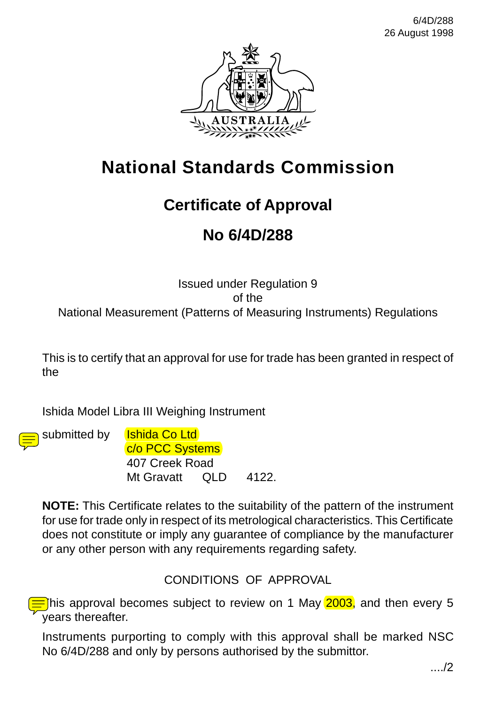

### **National Standards Commission**

### **Certificate of Approval**

### **No 6/4D/288**

#### Issued under Regulation 9 of the National Measurement (Patterns of Measuring Instruments) Regulations

This is to certify that an approval for use for trade has been granted in respect of the

Ishida Model Libra III Weighing Instrument



submitted by **Ishida Co Ltd** c/o PCC Systems 407 Creek Road Mt Gravatt QLD 4122.

**NOTE:** This Certificate relates to the suitability of the pattern of the instrument for use for trade only in respect of its metrological characteristics. This Certificate does not constitute or imply any guarantee of compliance by the manufacturer or any other person with any requirements regarding safety.

#### CONDITIONS OF APPROVAL

This approval becomes subject to review on 1 May 2003, and then every 5 years thereafter.

Instruments purporting to comply with this approval shall be marked NSC No 6/4D/288 and only by persons authorised by the submittor.

..../2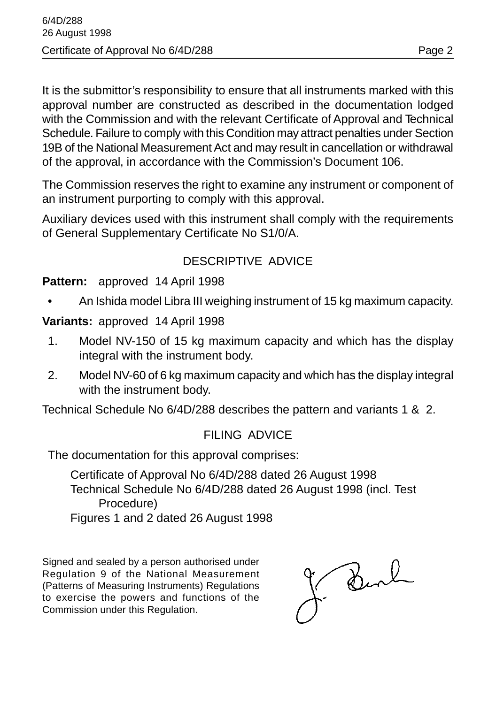It is the submittor's responsibility to ensure that all instruments marked with this approval number are constructed as described in the documentation lodged with the Commission and with the relevant Certificate of Approval and Technical Schedule. Failure to comply with this Condition may attract penalties under Section 19B of the National Measurement Act and may result in cancellation or withdrawal of the approval, in accordance with the Commission's Document 106.

The Commission reserves the right to examine any instrument or component of an instrument purporting to comply with this approval.

Auxiliary devices used with this instrument shall comply with the requirements of General Supplementary Certificate No S1/0/A.

#### DESCRIPTIVE ADVICE

#### **Pattern:** approved 14 April 1998

• An Ishida model Libra III weighing instrument of 15 kg maximum capacity.

**Variants:** approved 14 April 1998

- 1. Model NV-150 of 15 kg maximum capacity and which has the display integral with the instrument body.
- 2. Model NV-60 of 6 kg maximum capacity and which has the display integral with the instrument body.

Technical Schedule No 6/4D/288 describes the pattern and variants 1 & 2.

#### FILING ADVICE

The documentation for this approval comprises:

Certificate of Approval No 6/4D/288 dated 26 August 1998 Technical Schedule No 6/4D/288 dated 26 August 1998 (incl. Test Procedure) Figures 1 and 2 dated 26 August 1998

Signed and sealed by a person authorised under Regulation 9 of the National Measurement (Patterns of Measuring Instruments) Regulations to exercise the powers and functions of the Commission under this Regulation.

Burk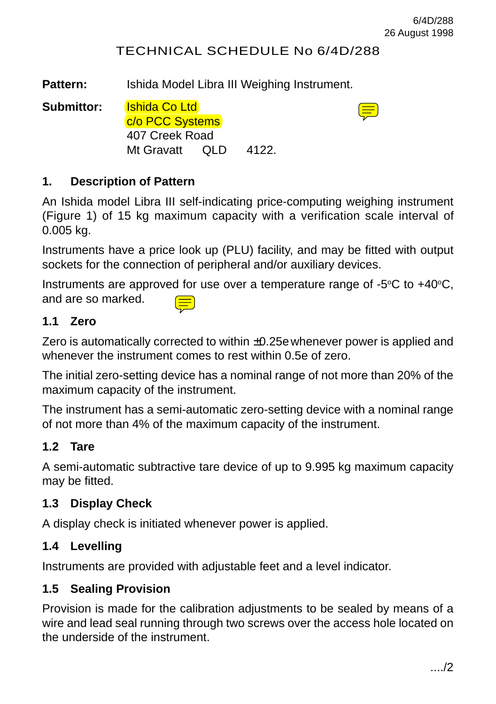$\equiv$ 

#### TECHNICAL SCHEDULE No 6/4D/288

Pattern: Ishida Model Libra III Weighing Instrument.

**Submittor:** Ishida Co Ltd

c/o PCC Systems 407 Creek Road Mt Gravatt QLD 4122.

#### **1. Description of Pattern**

An Ishida model Libra III self-indicating price-computing weighing instrument (Figure 1) of 15 kg maximum capacity with a verification scale interval of 0.005 kg.

Instruments have a price look up (PLU) facility, and may be fitted with output sockets for the connection of peripheral and/or auxiliary devices.

Instruments are approved for use over a temperature range of  $-5^{\circ}$ C to  $+40^{\circ}$ C, and are so marked.

#### **1.1 Zero**

Zero is automatically corrected to within ±0.25ewhenever power is applied and whenever the instrument comes to rest within 0.5e of zero.

The initial zero-setting device has a nominal range of not more than 20% of the maximum capacity of the instrument.

The instrument has a semi-automatic zero-setting device with a nominal range of not more than 4% of the maximum capacity of the instrument.

#### **1.2 Tare**

A semi-automatic subtractive tare device of up to 9.995 kg maximum capacity may be fitted.

#### **1.3 Display Check**

A display check is initiated whenever power is applied.

#### **1.4 Levelling**

Instruments are provided with adjustable feet and a level indicator.

#### **1.5 Sealing Provision**

Provision is made for the calibration adjustments to be sealed by means of a wire and lead seal running through two screws over the access hole located on the underside of the instrument.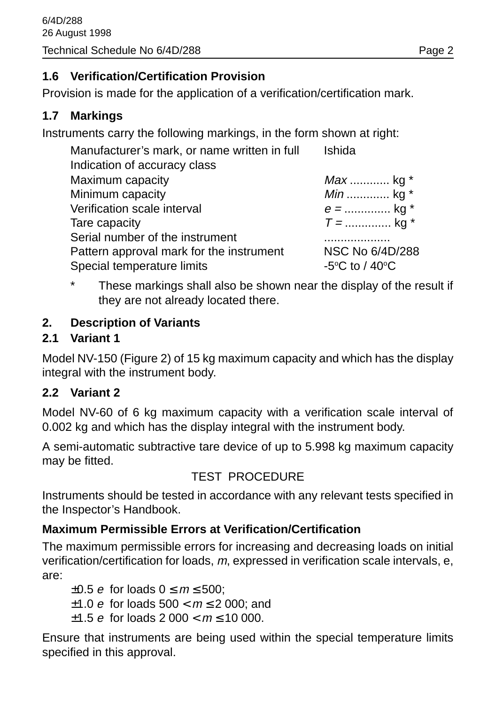#### **1.6 Verification/Certification Provision**

Provision is made for the application of a verification/certification mark.

#### **1.7 Markings**

Instruments carry the following markings, in the form shown at right:

| Manufacturer's mark, or name written in full | Ishida                                       |
|----------------------------------------------|----------------------------------------------|
| Indication of accuracy class                 |                                              |
| Maximum capacity                             | <i>Max</i> kg $*$                            |
| Minimum capacity                             | <i>Min</i> kg $*$                            |
| Verification scale interval                  | $e =$ kg *                                   |
| Tare capacity                                | $T =$ kg *                                   |
| Serial number of the instrument              |                                              |
| Pattern approval mark for the instrument     | NSC No 6/4D/288                              |
| Special temperature limits                   | -5 $\rm{^{\circ}C}$ to / 40 $\rm{^{\circ}C}$ |

\* These markings shall also be shown near the display of the result if they are not already located there.

#### **2. Description of Variants**

#### **2.1 Variant 1**

Model NV-150 (Figure 2) of 15 kg maximum capacity and which has the display integral with the instrument body.

#### **2.2 Variant 2**

Model NV-60 of 6 kg maximum capacity with a verification scale interval of 0.002 kg and which has the display integral with the instrument body.

A semi-automatic subtractive tare device of up to 5.998 kg maximum capacity may be fitted.

#### TEST PROCEDURE

Instruments should be tested in accordance with any relevant tests specified in the Inspector's Handbook.

#### **Maximum Permissible Errors at Verification/Certification**

The maximum permissible errors for increasing and decreasing loads on initial verification/certification for loads, m, expressed in verification scale intervals, e, are:

 $\pm 0.5$  e for loads  $0 \le m \le 500$ ;  $±1.0 e$  for loads  $500 < m \le 2000$ ; and  $\pm 1.5$  e for loads 2 000  $\lt m \lt 10$  000.

Ensure that instruments are being used within the special temperature limits specified in this approval.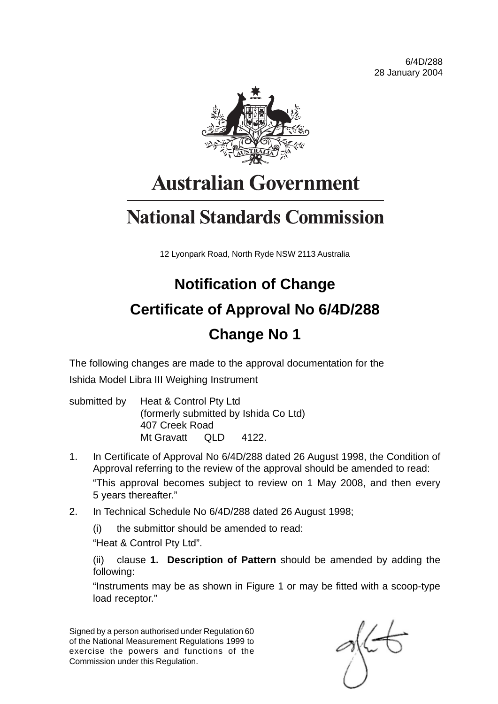6/4D/288 28 January 2004



# **Australian Government**

# **National Standards Commission**

12 Lyonpark Road, North Ryde NSW 2113 Australia

# **Notification of Change Certificate of Approval No 6/4D/288 Change No 1**

The following changes are made to the approval documentation for the Ishida Model Libra III Weighing Instrument

- submitted by Heat & Control Pty Ltd (formerly submitted by Ishida Co Ltd) 407 Creek Road Mt Gravatt QLD 4122
- 1. In Certificate of Approval No 6/4D/288 dated 26 August 1998, the Condition of Approval referring to the review of the approval should be amended to read: "This approval becomes subject to review on 1 May 2008, and then every 5 years thereafter."
- 2. In Technical Schedule No 6/4D/288 dated 26 August 1998;
	- (i) the submittor should be amended to read:

"Heat & Control Pty Ltd".

(ii) clause **1. Description of Pattern** should be amended by adding the following:

"Instruments may be as shown in Figure 1 or may be fitted with a scoop-type load receptor."

Signed by a person authorised under Regulation 60 of the National Measurement Regulations 1999 to exercise the powers and functions of the Commission under this Regulation.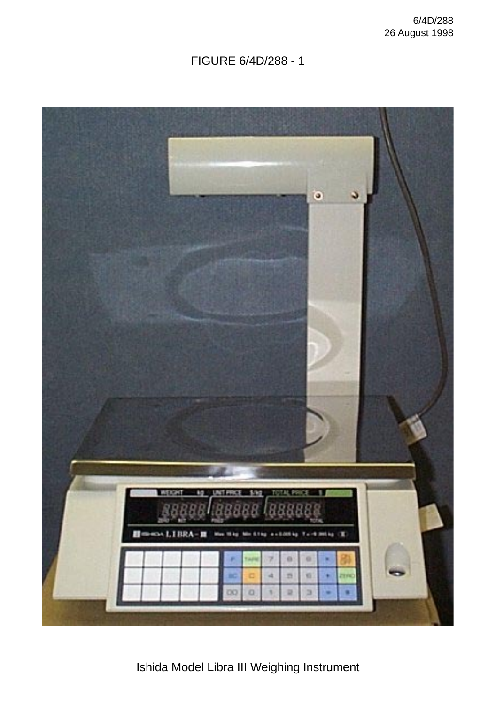#### FIGURE 6/4D/288 - 1



Ishida Model Libra III Weighing Instrument